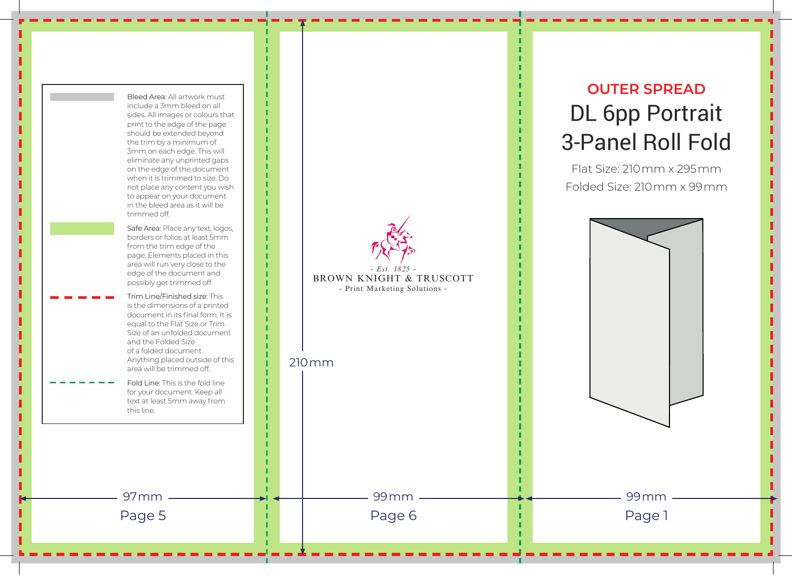